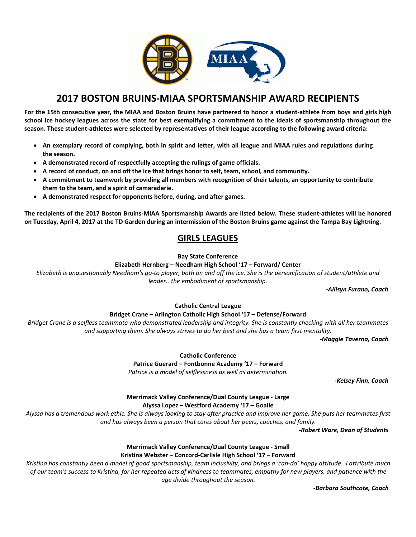

# **2017 BOSTON BRUINS‐MIAA SPORTSMANSHIP AWARD RECIPIENTS**

For the 15th consecutive year, the MIAA and Boston Bruins have partnered to honor a student-athlete from boys and girls high school ice hockey leagues across the state for best exemplifying a commitment to the ideals of sportsmanship throughout the season. These student-athletes were selected by representatives of their league according to the following award criteria:

- An exemplary record of complying, both in spirit and letter, with all league and MIAA rules and regulations during **the season.**
- **A demonstrated record of respectfully accepting the rulings of game officials.**
- **A record of conduct, on and off the ice that brings honor to self, team, school, and community.**
- A commitment to teamwork by providing all members with recognition of their talents, an opportunity to contribute **them to the team, and a spirit of camaraderie.**
- **A demonstrated respect for opponents before, during, and after games.**

The recipients of the 2017 Boston Bruins-MIAA Sportsmanship Awards are listed below. These student-athletes will be honored on Tuesday, April 4, 2017 at the TD Garden during an intermission of the Boston Bruins game against the Tampa Bay Lightning.

# **GIRLS LEAGUES**

**Bay State Conference**

#### **Elizabeth Hernberg – Needham High School '17 – Forward/ Center**

Elizabeth is unquestionably Needham's go-to player, both on and off the ice. She is the personification of student/athlete and *leader...the embodiment of sportsmanship.*

 *‐Allisyn Furano, Coach*

# **Catholic Central League**

# **Bridget Crane – Arlington Catholic High School '17 – Defense/Forward**

Bridget Crane is a selfless teammate who demonstrated leadership and integrity. She is constantly checking with all her teammates *and supporting them. She always strives to do her best and she has a team first mentality.* 

 *‐Maggie Taverna, Coach*

**Catholic Conference**

**Patrice Guerard – Fontbonne Academy '17 – Forward**

*Patrice is a model of selflessness as well as determination.*

 *‐Kelsey Finn, Coach*

# **Merrimack Valley Conference/Dual County League ‐ Large Alyssa Lopez – Westford Academy '17 – Goalie**

Alyssa has a tremendous work ethic. She is always looking to stay after practice and improve her game. She puts her teammates first *and has always been a person that cares about her peers, coaches, and family.*

 *‐Robert Ware, Dean of Students*

#### **Merrimack Valley Conference/Dual County League ‐ Small Kristina Webster – Concord‐Carlisle High School '17 – Forward**

Kristina has constantly been a model of good sportsmanship, team inclusivity, and brings a 'can-do' happy attitude. I attribute much of our team's success to Kristina, for her repeated acts of kindness to teammates, empathy for new players, and patience with the *age divide throughout the season.* 

 *‐Barbara Southcote, Coach*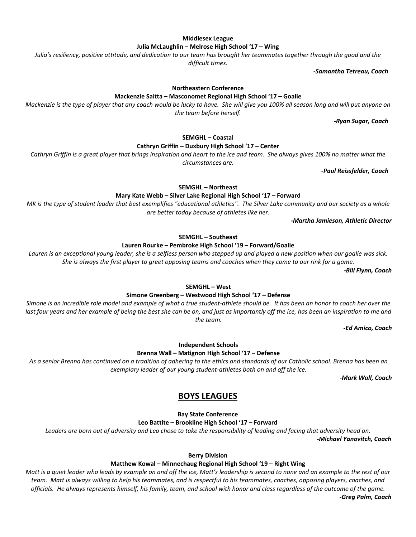#### **Middlesex League**

**Julia McLaughlin – Melrose High School '17 – Wing**

Julia's resiliency, positive attitude, and dedication to our team has brought her teammates together through the good and the

*difficult times.* 

 *‐Samantha Tetreau, Coach*

**Northeastern Conference** 

**Mackenzie Saitta – Masconomet Regional High School '17 – Goalie**

Mackenzie is the type of player that any coach would be lucky to have. She will give you 100% all season long and will put anyone on *the team before herself.*

 **‐***Ryan Sugar, Coach*

**SEMGHL – Coastal** 

**Cathryn Griffin – Duxbury High School '17 – Center**

Cathryn Griffin is a great player that brings inspiration and heart to the ice and team. She always gives 100% no matter what the *circumstances are.*

 *‐Paul Reissfelder, Coach*

**SEMGHL – Northeast** 

**Mary Kate Webb – Silver Lake Regional High School '17 – Forward**

MK is the type of student leader that best exemplifies "educational athletics". The Silver Lake community and our society as a whole *are better today because of athletes like her.*

*‐Martha Jamieson, Athletic Director*

**SEMGHL – Southeast** 

**Lauren Rourke – Pembroke High School '19 – Forward/Goalie**

Lauren is an exceptional young leader, she is a selfless person who stepped up and played a new position when our goalie was sick. She is always the first player to greet opposing teams and coaches when they come to our rink for a game.

 *‐Bill Flynn, Coach*

#### **SEMGHL – West**

#### **Simone Greenberg – Westwood High School '17 – Defense**

Simone is an incredible role model and example of what a true student-athlete should be. It has been an honor to coach her over the last four years and her example of being the best she can be on, and just as importantly off the ice, has been an inspiration to me and *the team.*

*‐Ed Amico, Coach*

**Independent Schools**

**Brenna Wall – Matignon High School '17 – Defense** 

As a senior Brenna has continued on a tradition of adhering to the ethics and standards of our Catholic school. Brenna has been an *exemplary leader of our young student‐athletes both on and off the ice.*

*‐Mark Wall, Coach*

# **BOYS LEAGUES**

**Bay State Conference** 

**Leo Battite – Brookline High School '17 – Forward**

Leaders are born out of adversity and Leo chose to take the responsibility of leading and facing that adversity head on.

*‐Michael Yanovitch, Coach*

**Berry Division**

#### **Matthew Kowal – Minnechaug Regional High School '19 – Right Wing**

Matt is a quiet leader who leads by example on and off the ice, Matt's leadership is second to none and an example to the rest of our team. Matt is always willing to help his teammates, and is respectful to his teammates, coaches, opposing players, coaches, and officials. He always represents himself, his family, team, and school with honor and class regardless of the outcome of the game.  *‐Greg Palm, Coach*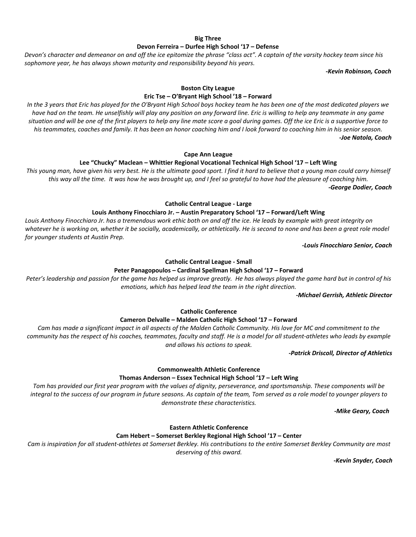#### **Big Three Devon Ferreira – Durfee High School '17 – Defense**

Devon's character and demeanor on and off the ice epitomize the phrase "class act". A captain of the varsity hockey team since his *sophomore year, he has always shown maturity and responsibility beyond his years.* 

*‐Kevin Robinson, Coach* 

# **Boston City League**

**Eric Tse – O'Bryant High School '18 – Forward**

In the 3 years that Eric has played for the O'Bryant High School boys hockey team he has been one of the most dedicated players we have had on the team. He unselfishly will play any position on any forward line. Eric is willing to help any teammate in any game situation and will be one of the first players to help any line mate score a goal during games. Off the ice Eric is a supportive force to his teammates, coaches and family. It has been an honor coaching him and I look forward to coaching him in his senior season. *‐Joe Natola, Coach*

#### **Cape Ann League**

#### **Lee "Chucky" Maclean – Whittier Regional Vocational Technical High School '17 – Left Wing**

This young man, have given his very best. He is the ultimate good sport. I find it hard to believe that a young man could carry himself this way all the time. It was how he was brought up, and I feel so grateful to have had the pleasure of coaching him. *‐George Dodier, Coach*

**Catholic Central League ‐ Large**

# **Louis Anthony Finocchiaro Jr. – Austin Preparatory School '17 – Forward/Left Wing**

Louis Anthony Finocchiaro Jr. has a tremendous work ethic both on and off the ice. He leads by example with great integrity on whatever he is working on, whether it be socially, academically, or athletically. He is second to none and has been a great role model *for younger students at Austin Prep.* 

*‐Louis Finocchiaro Senior, Coach*

#### **Catholic Central League ‐ Small**

### **Peter Panagopoulos – Cardinal Spellman High School '17 – Forward**

Peter's leadership and passion for the game has helped us improve greatly. He has always played the game hard but in control of his *emotions, which has helped lead the team in the right direction.*

*‐Michael Gerrish, Athletic Director*

**Catholic Conference**

# **Cameron Delvalle – Malden Catholic High School '17 – Forward**

Cam has made a significant impact in all aspects of the Malden Catholic Community. His love for MC and commitment to the community has the respect of his coaches, teammates, faculty and staff. He is a model for all student-athletes who leads by example *and allows his actions to speak.*

*‐Patrick Driscoll, Director of Athletics*

# **Commonwealth Athletic Conference**

#### **Thomas Anderson – Essex Technical High School '17 – Left Wing**

Tom has provided our first year program with the values of dignity, perseverance, and sportsmanship. These components will be integral to the success of our program in future seasons. As captain of the team, Tom served as a role model to younger players to *demonstrate these characteristics.* 

 *‐Mike Geary, Coach*

# **Eastern Athletic Conference**

#### **Cam Hebert – Somerset Berkley Regional High School '17 – Center**

Cam is inspiration for all student-athletes at Somerset Berkley. His contributions to the entire Somerset Berkley Community are most *deserving of this award.* 

 *‐Kevin Snyder, Coach*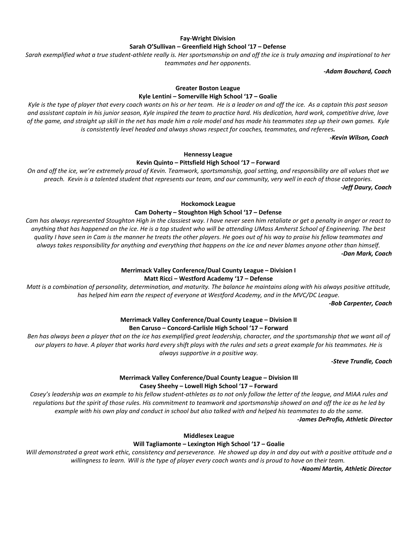# **Fay‐Wright Division Sarah O'Sullivan – Greenfield High School '17 – Defense**

Sarah exemplified what a true student-athlete really is. Her sportsmanship on and off the ice is truly amazing and inspirational to her *teammates and her opponents.*

*‐Adam Bouchard, Coach*

# **Greater Boston League**

#### **Kyle Lentini – Somerville High School '17 – Goalie**

Kyle is the type of player that every coach wants on his or her team. He is a leader on and off the ice. As a captain this past season and assistant captain in his junior season, Kyle inspired the team to practice hard. His dedication, hard work, competitive drive, love of the game, and straight up skill in the net has made him a role model and has made his teammates step up their own games. Kyle *is consistently level headed and always shows respect for coaches, teammates, and referees.*

 *‐Kevin Wilson, Coach*

# **Hennessy League Kevin Quinto – Pittsfield High School '17 – Forward**

On and off the ice, we're extremely proud of Kevin. Teamwork, sportsmanship, goal setting, and responsibility are all values that we preach. Kevin is a talented student that represents our team, and our community, very well in each of those categories. *‐Jeff Daury, Coach*

**Hockomock League**

#### **Cam Doherty – Stoughton High School '17 – Defense**

Cam has always represented Stoughton High in the classiest way. I have never seen him retaliate or get a penalty in anger or react to anything that has happened on the ice. He is a top student who will be attending UMass Amherst School of Engineering. The best quality I have seen in Cam is the manner he treats the other players. He goes out of his way to praise his fellow teammates and always takes responsibility for anything and everything that happens on the ice and never blames anyone other than himself. *‐Dan Mark, Coach*

#### **Merrimack Valley Conference/Dual County League – Division I Matt Ricci – Westford Academy '17 – Defense**

Matt is a combination of personality, determination, and maturity. The balance he maintains along with his always positive attitude, *has helped him earn the respect of everyone at Westford Academy, and in the MVC/DC League.*

*‐Bob Carpenter, Coach* 

# **Merrimack Valley Conference/Dual County League – Division II Ben Caruso – Concord‐Carlisle High School '17 – Forward**

Ben has always been a player that on the ice has exemplified great leadership, character, and the sportsmanship that we want all of our players to have. A player that works hard every shift plays with the rules and sets a great example for his teammates. He is *always supportive in a positive way.*

*‐Steve Trundle, Coach* 

# **Merrimack Valley Conference/Dual County League – Division III Casey Sheehy – Lowell High School '17 – Forward**

Casey's leadership was an example to his fellow student-athletes as to not only follow the letter of the league, and MIAA rules and regulations but the spirit of those rules. His commitment to teamwork and sportsmanship showed on and off the ice as he led by example with his own play and conduct in school but also talked with and helped his teammates to do the same.

*‐James DeProfio, Athletic Director*

**Middlesex League**

#### **Will Tagliamonte – Lexington High School '17 – Goalie**

Will demonstrated a great work ethic, consistency and perseverance. He showed up day in and day out with a positive attitude and a willingness to learn. Will is the type of player every coach wants and is proud to have on their team.

*‐Naomi Martin, Athletic Director*